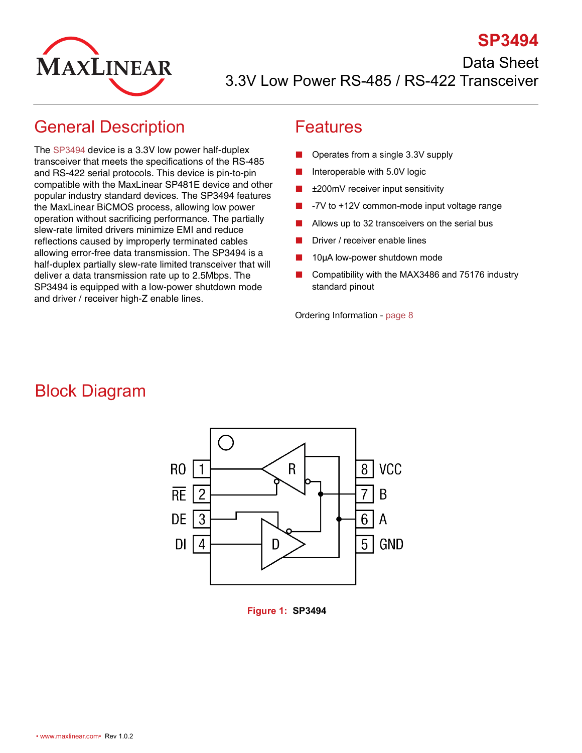

**SP3494** Data Sheet 3.3V Low Power RS-485 / RS-422 Transceiver

### <span id="page-0-0"></span>General Description

The [SP3494](http://www.maxlinear.com/SP3494) device is a 3.3V low power half-duplex transceiver that meets the specifications of the RS-485 and RS-422 serial protocols. This device is pin-to-pin compatible with the MaxLinear SP481E device and other popular industry standard devices. The SP3494 features the MaxLinear BiCMOS process, allowing low power operation without sacrificing performance. The partially slew-rate limited drivers minimize EMI and reduce reflections caused by improperly terminated cables allowing error-free data transmission. The SP3494 is a half-duplex partially slew-rate limited transceiver that will deliver a data transmission rate up to 2.5Mbps. The SP3494 is equipped with a low-power shutdown mode and driver / receiver high-Z enable lines.

#### <span id="page-0-1"></span>Features

- Operates from a single 3.3V supply
- Interoperable with 5.0V logic
- ±200mV receiver input sensitivity
- -7V to +12V common-mode input voltage range
- Allows up to 32 transceivers on the serial bus
- Driver / receiver enable lines
- 10μA low-power shutdown mode
- Compatibility with the MAX3486 and 75176 industry standard pinout

Ordering Information - [page](#page-12-0) 8

## <span id="page-0-2"></span>Block Diagram



<span id="page-0-3"></span>**Figure 1: SP3494**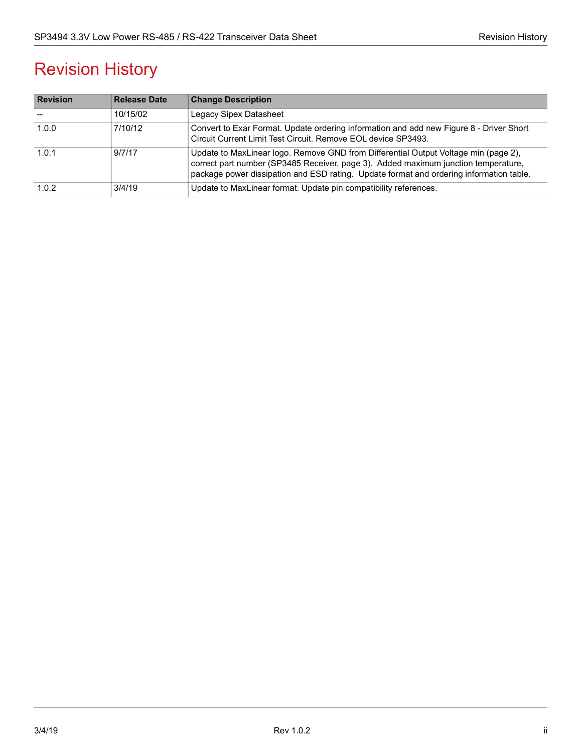## Revision History

| <b>Revision</b> | <b>Release Date</b> | <b>Change Description</b>                                                                                                                                                                                                                                            |
|-----------------|---------------------|----------------------------------------------------------------------------------------------------------------------------------------------------------------------------------------------------------------------------------------------------------------------|
|                 | 10/15/02            | Legacy Sipex Datasheet                                                                                                                                                                                                                                               |
| 1.0.0           | 7/10/12             | Convert to Exar Format. Update ordering information and add new Figure 8 - Driver Short<br>Circuit Current Limit Test Circuit. Remove EOL device SP3493.                                                                                                             |
| 1.0.1           | 9/7/17              | Update to MaxLinear logo. Remove GND from Differential Output Voltage min (page 2),<br>correct part number (SP3485 Receiver, page 3). Added maximum junction temperature,<br>package power dissipation and ESD rating. Update format and ordering information table. |
| 1.0.2           | 3/4/19              | Update to MaxLinear format. Update pin compatibility references.                                                                                                                                                                                                     |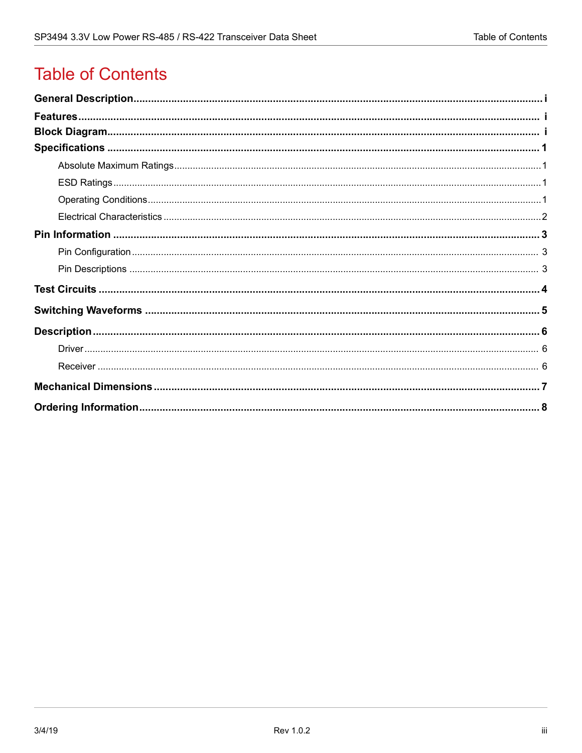## **Table of Contents**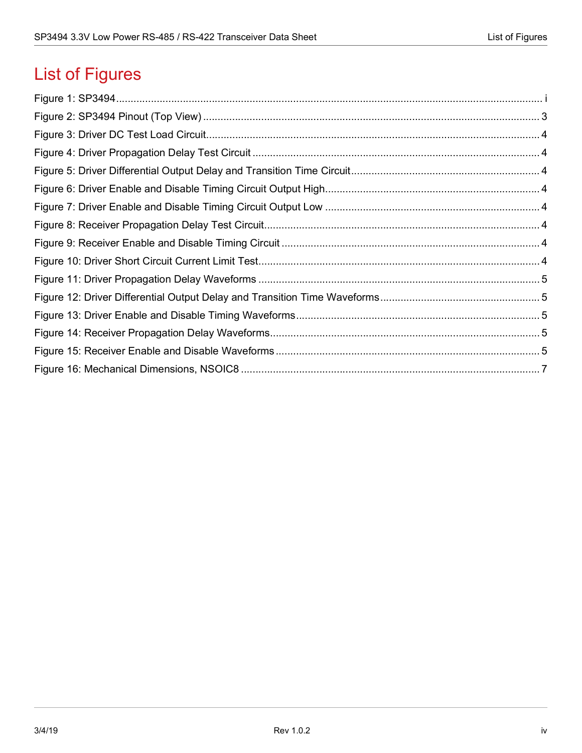# List of Figures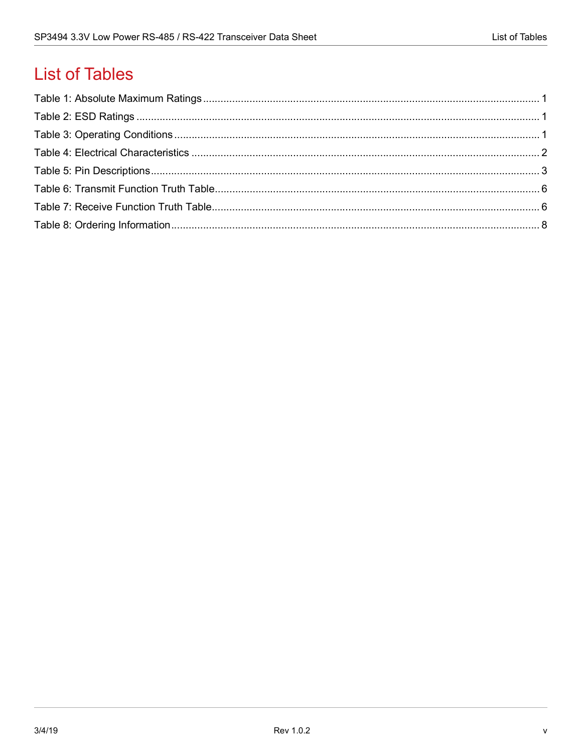## **List of Tables**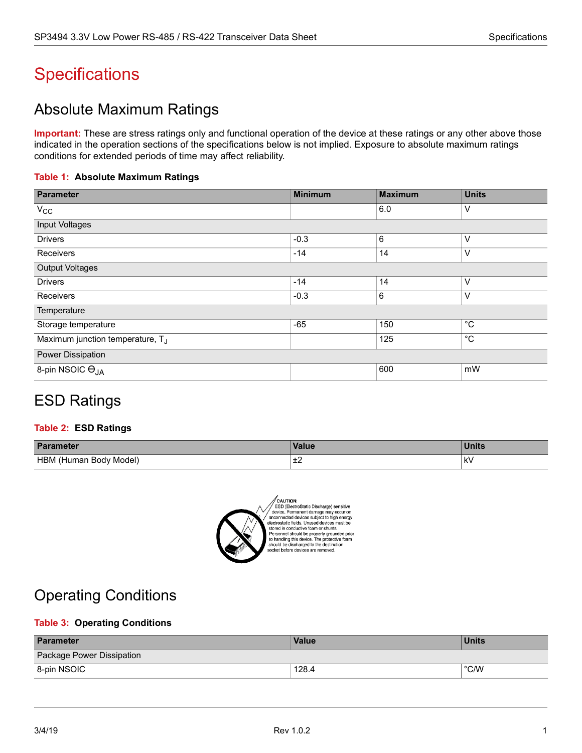## <span id="page-5-0"></span>**Specifications**

### <span id="page-5-1"></span>Absolute Maximum Ratings

**Important:** These are stress ratings only and functional operation of the device at these ratings or any other above those indicated in the operation sections of the specifications below is not implied. Exposure to absolute maximum ratings conditions for extended periods of time may affect reliability.

#### <span id="page-5-4"></span>**Table 1: Absolute Maximum Ratings**

| <b>Parameter</b>                             | <b>Minimum</b> | <b>Maximum</b> | <b>Units</b> |
|----------------------------------------------|----------------|----------------|--------------|
| $V_{\rm CC}$                                 |                | 6.0            | V            |
| Input Voltages                               |                |                |              |
| <b>Drivers</b>                               | $-0.3$         | 6              | V            |
| Receivers                                    | $-14$          | 14             | V            |
| <b>Output Voltages</b>                       |                |                |              |
| <b>Drivers</b>                               | $-14$          | 14             | V            |
| Receivers                                    | $-0.3$         | 6              | V            |
| Temperature                                  |                |                |              |
| Storage temperature                          | $-65$          | 150            | $^{\circ}$ C |
| Maximum junction temperature, T <sub>J</sub> |                | 125            | $^{\circ}$ C |
| Power Dissipation                            |                |                |              |
| 8-pin NSOIC O <sub>JA</sub>                  |                | 600            | mW           |

### <span id="page-5-2"></span>ESD Ratings

#### <span id="page-5-5"></span>**Table 2: ESD Ratings**

| <b>Parameter</b>                      | <b>Value</b> | . .<br>$\sim 10$<br>лис |
|---------------------------------------|--------------|-------------------------|
| <b>HBM</b><br>Model)<br>Human Body) ، | . .<br>∸∸    | k۷<br>$\cdot$ .         |



CAUTION:<br>ESD (ElectroStatic Discharge) sensitive<br>device. Permanent damage may occur on<br>anconnected devices subject to high energy<br>stectrostatic fields. Unused devices must be<br>stored in conductive fram or shunts.<br>Demonard s solved in commutative ideal property grounded prior<br>Personnel should be property grounded prior<br>to handling this device. The protective foam<br>should be discharged to the destination<br>socket before devices are removed.

### <span id="page-5-3"></span>Operating Conditions

#### <span id="page-5-6"></span>**Table 3: Operating Conditions**

| <b>Parameter</b>          | <b>Value</b> | <b>Units</b>  |
|---------------------------|--------------|---------------|
| Package Power Dissipation |              |               |
| 8-pin NSOIC               | 128.4        | $\degree$ C/W |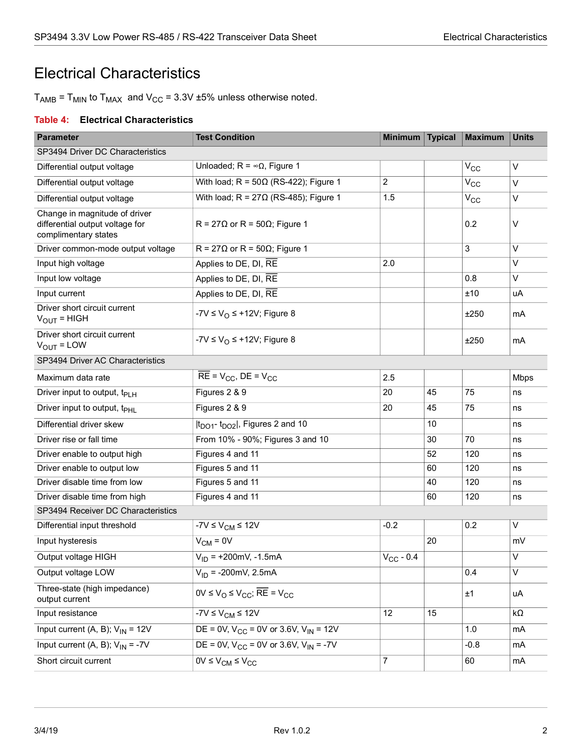### <span id="page-6-0"></span>Electrical Characteristics

 $T_{AMB}$  =  $T_{MIN}$  to  $T_{MAX}$  and  $V_{CC}$  = 3.3V ±5% unless otherwise noted.

#### <span id="page-6-1"></span>**Table 4: Electrical Characteristics**

| <b>Parameter</b>                                                                         | <b>Test Condition</b>                           | Minimum   Typical |    | <b>Maximum</b> | <b>Units</b> |
|------------------------------------------------------------------------------------------|-------------------------------------------------|-------------------|----|----------------|--------------|
| SP3494 Driver DC Characteristics                                                         |                                                 |                   |    |                |              |
| Differential output voltage                                                              | Unloaded; $R = \infty$ , Figure 1               |                   |    | $V_{\rm CC}$   | V            |
| Differential output voltage                                                              | With load; $R = 50\Omega$ (RS-422); Figure 1    | $\overline{c}$    |    | $V_{CC}$       | V            |
| Differential output voltage                                                              | With load; $R = 27\Omega$ (RS-485); Figure 1    | 1.5               |    | $V_{CC}$       | V            |
| Change in magnitude of driver<br>differential output voltage for<br>complimentary states | $R = 27\Omega$ or R = 50 $\Omega$ ; Figure 1    |                   |    | 0.2            | V            |
| Driver common-mode output voltage                                                        | $R = 27\Omega$ or R = 50 $\Omega$ ; Figure 1    |                   |    | 3              | V            |
| Input high voltage                                                                       | Applies to DE, DI, RE                           | 2.0               |    |                | V            |
| Input low voltage                                                                        | Applies to DE, DI, RE                           |                   |    | 0.8            | V            |
| Input current                                                                            | Applies to DE, DI, RE                           |                   |    | ±10            | uA           |
| Driver short circuit current<br>$V_{\text{OUT}}$ = HIGH                                  | -7V $\leq$ V <sub>O</sub> $\leq$ +12V; Figure 8 |                   |    | ±250           | mA           |
| Driver short circuit current<br>$V_{OUT} = LOW$                                          | -7V $\leq$ V <sub>O</sub> $\leq$ +12V; Figure 8 |                   |    | ±250           | mA           |
| SP3494 Driver AC Characteristics                                                         |                                                 |                   |    |                |              |
| Maximum data rate                                                                        | $RE = V_{CC}$ , $DE = V_{CC}$                   | 2.5               |    |                | <b>Mbps</b>  |
| Driver input to output, t <sub>PLH</sub>                                                 | Figures 2 & 9                                   | 20                | 45 | 75             | ns           |
| Driver input to output, t <sub>PHL</sub>                                                 | Figures 2 & 9                                   | 20                | 45 | 75             | ns           |
| Differential driver skew                                                                 | $ t_{DO1}$ - $t_{DO2} $ , Figures 2 and 10      |                   | 10 |                | ns           |
| Driver rise or fall time                                                                 | From 10% - 90%; Figures 3 and 10                |                   | 30 | 70             | ns           |
| Driver enable to output high                                                             | Figures 4 and 11                                |                   | 52 | 120            | ns           |
| Driver enable to output low                                                              | Figures 5 and 11                                |                   | 60 | 120            | ns           |
| Driver disable time from low                                                             | Figures 5 and 11                                |                   | 40 | 120            | ns           |
| Driver disable time from high                                                            | Figures 4 and 11                                |                   | 60 | 120            | ns           |
| SP3494 Receiver DC Characteristics                                                       |                                                 |                   |    |                |              |
| Differential input threshold                                                             | $-7V \leq V_{CM} \leq 12V$                      | $-0.2$            |    | 0.2            | V            |
| Input hysteresis                                                                         | $V_{CM} = 0V$                                   |                   | 20 |                | mV           |
| Output voltage HIGH                                                                      | $V_{ID}$ = +200mV, -1.5mA                       | $V_{CC}$ - 0.4    |    |                | V            |
| Output voltage LOW                                                                       | $V_{ID} = -200 \text{mV}$ , 2.5mA               |                   |    | 0.4            | V            |
| Three-state (high impedance)<br>output current                                           | $0V \le V_{O} \le V_{CC}$ ; RE = $V_{CC}$       |                   |    | ±1             | uA           |
| Input resistance                                                                         | $-7V \leq V_{CM} \leq 12V$                      | 12                | 15 |                | kΩ           |
| Input current (A, B); $V_{IN}$ = 12V                                                     | DE = 0V, $V_{CC}$ = 0V or 3.6V, $V_{IN}$ = 12V  |                   |    | 1.0            | mA           |
| Input current (A, B); $V_{IN} = -7V$                                                     | DE = 0V, $V_{CC}$ = 0V or 3.6V, $V_{IN}$ = -7V  |                   |    | $-0.8$         | mA           |
| Short circuit current                                                                    | $0V \leq V_{CM} \leq V_{CC}$                    | 7                 |    | 60             | mA           |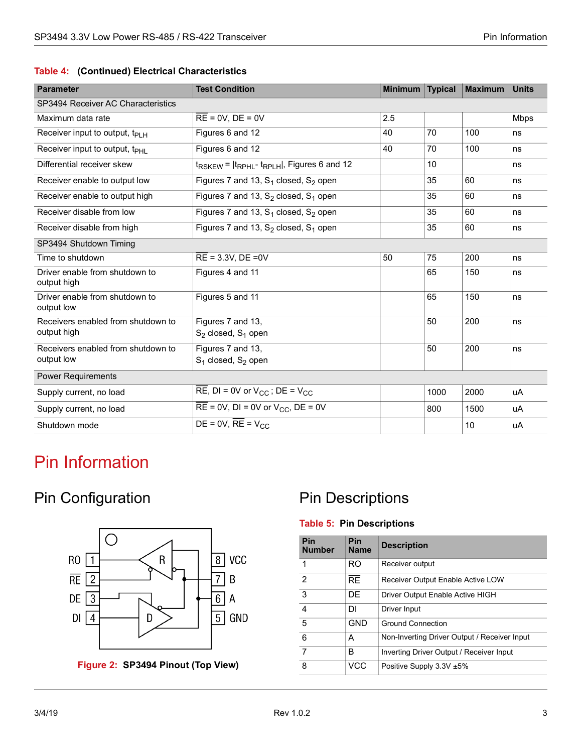|  |  |  | Table 4: (Continued) Electrical Characteristics |
|--|--|--|-------------------------------------------------|
|--|--|--|-------------------------------------------------|

| <b>Parameter</b>                                                 | <b>Test Condition</b><br><b>Minimum</b>                   |     | <b>Typical</b> | <b>Maximum</b> | <b>Units</b> |
|------------------------------------------------------------------|-----------------------------------------------------------|-----|----------------|----------------|--------------|
| SP3494 Receiver AC Characteristics                               |                                                           |     |                |                |              |
| Maximum data rate                                                | $RE = 0V$ , $DE = 0V$                                     | 2.5 |                |                | <b>Mbps</b>  |
| Receiver input to output, $t_{PIH}$                              | Figures 6 and 12                                          | 40  | 70             | 100            | ns           |
| Receiver input to output, t <sub>PHI</sub>                       | Figures 6 and 12                                          | 40  | 70             | 100            | ns           |
| Differential receiver skew                                       | $t_{RSKFW}$ = $ t_{RPHI}$ - $t_{RPIH}$ , Figures 6 and 12 |     | 10             |                | ns           |
| Receiver enable to output low                                    | Figures 7 and 13, $S_1$ closed, $S_2$ open                |     | 35             | 60             | ns           |
| Receiver enable to output high                                   | Figures 7 and 13, $S_2$ closed, $S_1$ open                |     | 35             | 60             | ns           |
| Receiver disable from low                                        | Figures 7 and 13, $S_1$ closed, $S_2$ open                |     | 35             | 60             | ns           |
| Receiver disable from high                                       | Figures 7 and 13, $S_2$ closed, $S_1$ open                |     | 35             | 60             | ns           |
| SP3494 Shutdown Timing                                           |                                                           |     |                |                |              |
| Time to shutdown                                                 | $RE = 3.3V$ , $DE = 0V$                                   | 50  | 75             | 200            | ns           |
| Driver enable from shutdown to<br>output high                    | Figures 4 and 11                                          |     | 65             | 150            | ns           |
| Driver enable from shutdown to<br>Figures 5 and 11<br>output low |                                                           |     | 65             | 150            | ns           |
| Receivers enabled from shutdown to                               | Figures 7 and 13,                                         |     | 50             | 200            | ns           |
| output high                                                      | $S_2$ closed, $S_1$ open                                  |     |                |                |              |
| Receivers enabled from shutdown to                               | Figures 7 and 13,                                         |     | 50             | 200            | ns           |
| output low                                                       | $S_1$ closed, $S_2$ open                                  |     |                |                |              |
| <b>Power Requirements</b>                                        |                                                           |     |                |                |              |
| Supply current, no load                                          | RE, DI = 0V or $V_{CC}$ ; DE = $V_{CC}$                   |     | 1000           | 2000           | uA           |
| Supply current, no load                                          | $RE = 0V$ , DI = 0V or $V_{CC}$ , DE = 0V<br>800          |     | 1500           | uA             |              |
| Shutdown mode                                                    | DE = $0V$ , RE = $V_{CC}$                                 |     |                | 10             | uA           |

## <span id="page-7-0"></span>Pin Information

### <span id="page-7-1"></span>Pin Configuration



<span id="page-7-3"></span>**Figure 2: SP3494 Pinout (Top View)**

### <span id="page-7-2"></span>Pin Descriptions

#### <span id="page-7-4"></span>**Table 5: Pin Descriptions**

| Pin<br><b>Number</b> | <b>Pin</b><br><b>Name</b> | <b>Description</b>                           |
|----------------------|---------------------------|----------------------------------------------|
| 1                    | RO                        | Receiver output                              |
| $\mathcal{P}$        | <b>RF</b>                 | Receiver Output Enable Active LOW            |
| 3                    | DF                        | Driver Output Enable Active HIGH             |
| $\overline{A}$       | DI                        | Driver Input                                 |
| 5                    | GND                       | <b>Ground Connection</b>                     |
| 6                    | А                         | Non-Inverting Driver Output / Receiver Input |
| $\overline{7}$       | в                         | Inverting Driver Output / Receiver Input     |
| 8                    | VCC                       | Positive Supply $3.3V \pm 5\%$               |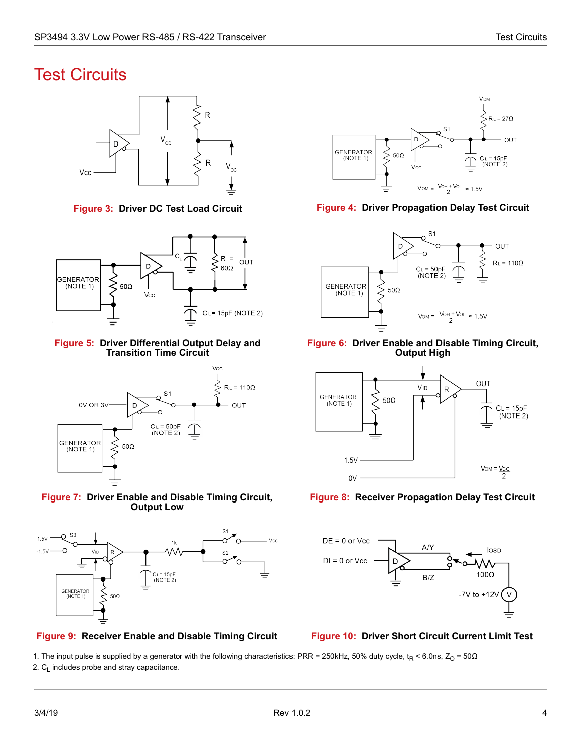### <span id="page-8-0"></span>Test Circuits



<span id="page-8-1"></span>

<span id="page-8-3"></span>**Figure 5: Driver Differential Output Delay and Transition Time Circuit**



<span id="page-8-5"></span>



<span id="page-8-7"></span>**Figure 9: Receiver Enable and Disable Timing Circuit Figure 10: Driver Short Circuit Current Limit Test**



**Figure 3: Driver DC Test Load Circuit Figure 4: Driver Propagation Delay Test Circuit**

<span id="page-8-2"></span>

<span id="page-8-4"></span>**Figure 6: Driver Enable and Disable Timing Circuit, Output High**



<span id="page-8-6"></span>**Figure 8: Receiver Propagation Delay Test Circuit**



<span id="page-8-8"></span>

1. The input pulse is supplied by a generator with the following characteristics: PRR = 250kHz, 50% duty cycle,  $t_R$  < 6.0ns, Z<sub>O</sub> = 50 $\Omega$ 2.  $C_1$  includes probe and stray capacitance.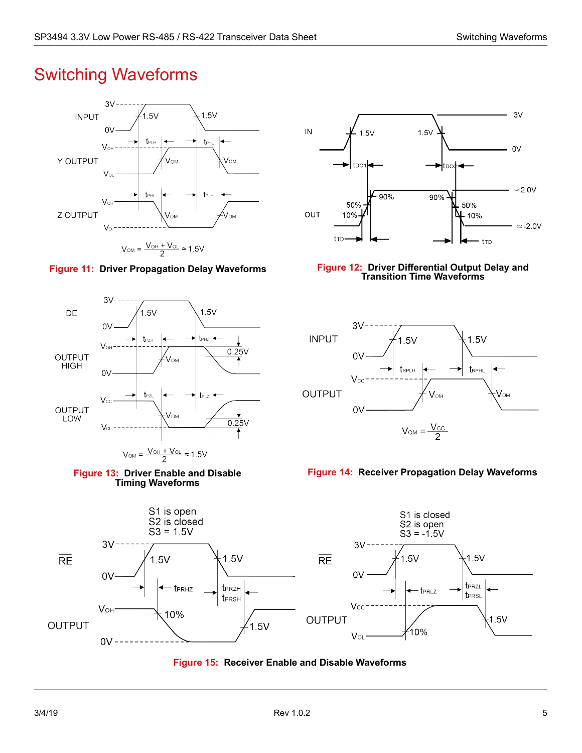## <span id="page-9-0"></span>Switching Waveforms







 $V_{OM} = \frac{V_{OH} + V_{OL}}{2} \approx 1.5V$ 





#### <span id="page-9-1"></span>**Figure 11: Driver Propagation Delay Waveforms Figure 12: Driver Differential Output Delay and Transition Time Waveforms**

<span id="page-9-2"></span>

<span id="page-9-4"></span>

<span id="page-9-3"></span>

<span id="page-9-5"></span>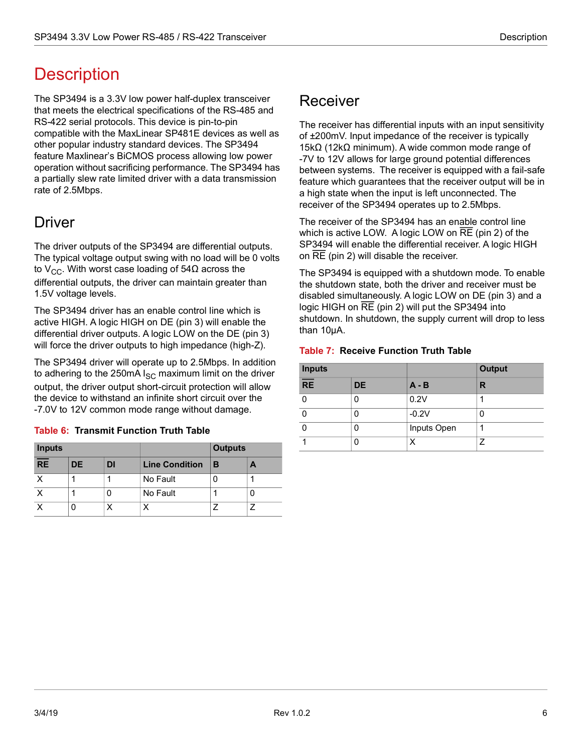## <span id="page-10-0"></span>**Description**

The SP3494 is a 3.3V low power half-duplex transceiver that meets the electrical specifications of the RS-485 and RS-422 serial protocols. This device is pin-to-pin compatible with the MaxLinear SP481E devices as well as other popular industry standard devices. The SP3494 feature Maxlinear's BiCMOS process allowing low power operation without sacrificing performance. The SP3494 has a partially slew rate limited driver with a data transmission rate of 2.5Mbps.

### <span id="page-10-1"></span>Driver

The driver outputs of the SP3494 are differential outputs. The typical voltage output swing with no load will be 0 volts to V<sub>CC</sub>. With worst case loading of 54Ω across the differential outputs, the driver can maintain greater than 1.5V voltage levels.

The SP3494 driver has an enable control line which is active HIGH. A logic HIGH on DE (pin 3) will enable the differential driver outputs. A logic LOW on the DE (pin 3) will force the driver outputs to high impedance (high-Z).

The SP3494 driver will operate up to 2.5Mbps. In addition to adhering to the 250mA  $I_{SC}$  maximum limit on the driver output, the driver output short-circuit protection will allow the device to withstand an infinite short circuit over the -7.0V to 12V common mode range without damage.

| <b>Inputs</b> |     |    |                       | <b>Outputs</b> |  |
|---------------|-----|----|-----------------------|----------------|--|
| <b>RE</b>     | DE. | DI | <b>Line Condition</b> | в              |  |
|               |     |    | No Fault              |                |  |
|               |     |    | No Fault              |                |  |
|               |     |    |                       |                |  |

#### <span id="page-10-3"></span>**Table 6: Transmit Function Truth Table**

### <span id="page-10-2"></span>Receiver

The receiver has differential inputs with an input sensitivity of ±200mV. Input impedance of the receiver is typically 15kΩ (12kΩ minimum). A wide common mode range of -7V to 12V allows for large ground potential differences between systems. The receiver is equipped with a fail-safe feature which guarantees that the receiver output will be in a high state when the input is left unconnected. The receiver of the SP3494 operates up to 2.5Mbps.

The receiver of the SP3494 has an enable control line which is active LOW. A logic LOW on RE (pin 2) of the SP3494 will enable the differential receiver. A logic HIGH on RE (pin 2) will disable the receiver.

The SP3494 is equipped with a shutdown mode. To enable the shutdown state, both the driver and receiver must be disabled simultaneously. A logic LOW on DE (pin 3) and a logic HIGH on RE (pin 2) will put the SP3494 into shutdown. In shutdown, the supply current will drop to less than 10µA.

#### <span id="page-10-4"></span>**Table 7: Receive Function Truth Table**

| <b>Inputs</b>   |           |             | <b>Output</b> |  |
|-----------------|-----------|-------------|---------------|--|
| $\overline{RE}$ | <b>DE</b> | $A - B$     | R             |  |
|                 |           | 0.2V        |               |  |
|                 |           | $-0.2V$     |               |  |
|                 | O         | Inputs Open |               |  |
|                 | O         |             |               |  |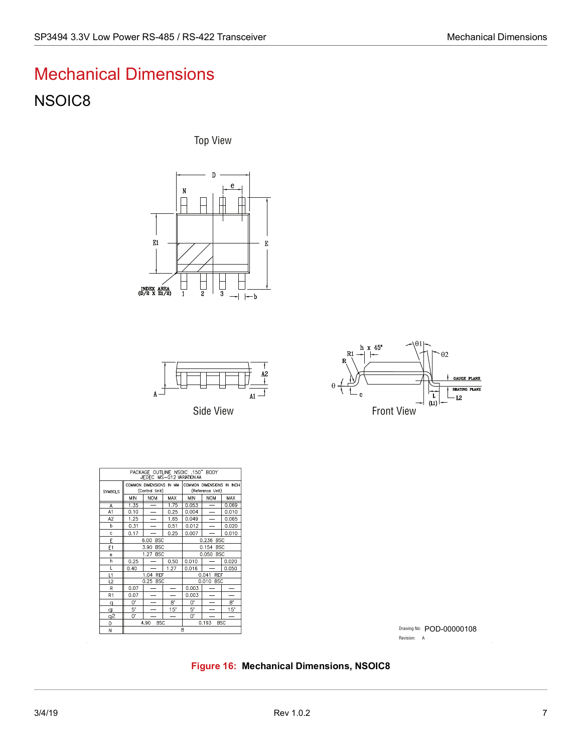# <span id="page-11-0"></span>Mechanical Dimensions NSOIC8

Top View









| PACKAGE OUTLINE NSOIC .150" BODY<br>JEDEC MS-012 VARIATION AA |                                           |                                 |                     |                                               |                          |       |  |  |
|---------------------------------------------------------------|-------------------------------------------|---------------------------------|---------------------|-----------------------------------------------|--------------------------|-------|--|--|
| <b>SYMBOLS</b>                                                | COMMON DIMENSIONS IN MM<br>(Control Unit) |                                 |                     | COMMON DIMENSIONS IN INCH<br>(Reference Unit) |                          |       |  |  |
|                                                               | <b>MIN</b>                                | <b>NOM</b>                      | MAX                 | <b>MIN</b>                                    | <b>NOM</b>               | MAX   |  |  |
| A                                                             | 1.35                                      | $\overline{\phantom{0}}$        | 1.75                | 0.053                                         | $\overline{\phantom{0}}$ | 0.069 |  |  |
| A <sub>1</sub>                                                | 0.10                                      | $\overline{\phantom{0}}$        | 0.25                | 0.004                                         | $\overline{\phantom{0}}$ | 0.010 |  |  |
| A <sub>2</sub>                                                | 1.25                                      |                                 | 1.65                | 0.049                                         |                          | 0.065 |  |  |
| b                                                             | 0.31                                      |                                 | 0.51                | 0.012                                         |                          | 0.020 |  |  |
| c                                                             | 0.17                                      |                                 | 0.25                | 0.007                                         |                          | 0.010 |  |  |
| E                                                             |                                           | <b>BSC</b><br>0.236 BSC<br>6.00 |                     |                                               |                          |       |  |  |
| E <sub>1</sub>                                                | 3.90<br><b>BSC</b>                        |                                 | 0.154 BSC           |                                               |                          |       |  |  |
| e                                                             | 1.27 BSC                                  |                                 | 0.050<br><b>BSC</b> |                                               |                          |       |  |  |
| h                                                             | 0.25                                      |                                 | 0.50                | 0.010                                         |                          | 0.020 |  |  |
| L                                                             | 0.40                                      |                                 | 1.27                | 0.016                                         |                          | 0.050 |  |  |
| L1                                                            | 1.04 REF                                  |                                 | <b>REF</b><br>0.041 |                                               |                          |       |  |  |
| L2                                                            |                                           | 0.25 BSC                        |                     | 0.010 BSC                                     |                          |       |  |  |
| R                                                             | 0.07                                      |                                 |                     | 0.003                                         |                          |       |  |  |
| R1                                                            | 0.07                                      |                                 |                     | 0.003                                         |                          |       |  |  |
| q                                                             | 0.                                        |                                 | Β.                  | U.                                            |                          | 8.    |  |  |
| qı                                                            | 5.                                        |                                 | 15"                 | 5.                                            |                          | 15"   |  |  |
| g2                                                            | U.                                        |                                 |                     | U.                                            |                          |       |  |  |
| D                                                             | 4.90<br><b>BSC</b>                        |                                 |                     | <b>BSC</b><br>0.193                           |                          |       |  |  |
| N                                                             | 8                                         |                                 |                     |                                               |                          |       |  |  |

Drawing No: POD-00000108 Revision: A

<span id="page-11-1"></span>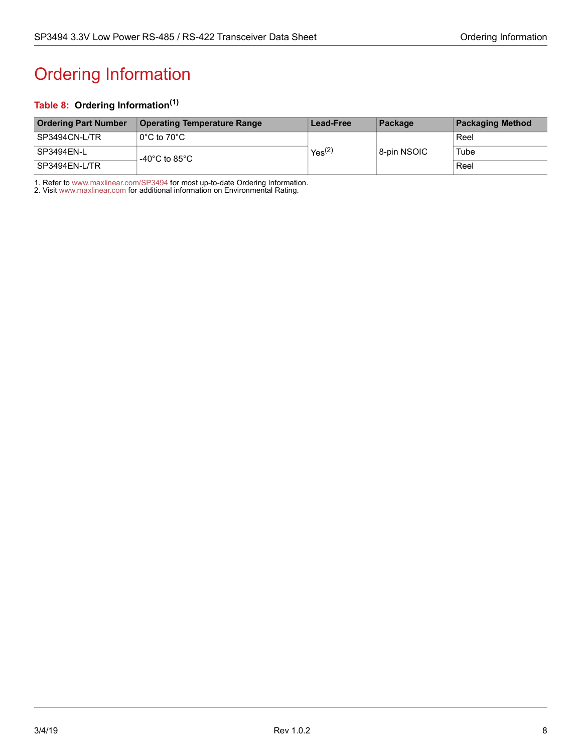# <span id="page-12-1"></span><span id="page-12-0"></span>Ordering Information

#### <span id="page-12-2"></span>**Table 8: Ordering Information(1)**

| <b>Ordering Part Number</b> | Operating Temperature Range                        | <b>Lead-Free</b>   | Package     | <b>Packaging Method</b> |
|-----------------------------|----------------------------------------------------|--------------------|-------------|-------------------------|
| SP3494CN-L/TR               | $\,$ l $\rm 0^\circ C$ to $\,$ 70 $\rm ^\circ C$ . |                    | 8-pin NSOIC | Reel                    |
| SP3494EN-L                  | -40 $^{\circ}$ C to 85 $^{\circ}$ C                | Yes <sup>(2)</sup> |             | Tube                    |
| SP3494EN-L/TR               |                                                    |                    |             | Reel                    |

1. Refer to [www.maxlinear.com/SP3494](http://www.maxlinear.com/SP3494) for most up-to-date Ordering Information.

2. Visit[www.maxlinear.com](http://www.maxlinear.com) for additional information on Environmental Rating.